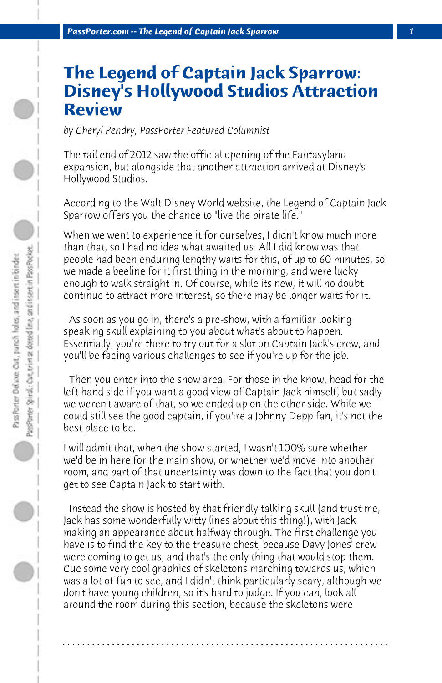## **The Legend of Captain Jack Sparrow: Disney's Hollywood Studios Attraction Review**

*by Cheryl Pendry, PassPorter Featured Columnist*

The tail end of 2012 saw the official opening of the Fantasyland expansion, but alongside that another attraction arrived at Disney's Hollywood Studios.

According to the Walt Disney World website, the Legend of Captain Jack Sparrow offers you the chance to "live the pirate life."

When we went to experience it for ourselves, I didn't know much more than that, so I had no idea what awaited us. All I did know was that people had been enduring lengthy waits for this, of up to 60 minutes, so we made a beeline for it first thing in the morning, and were lucky enough to walk straight in. Of course, while its new, it will no doubt continue to attract more interest, so there may be longer waits for it.

 As soon as you go in, there's a pre-show, with a familiar looking speaking skull explaining to you about what's about to happen. Essentially, you're there to try out for a slot on Captain Jack's crew, and you'll be facing various challenges to see if you're up for the job.

 Then you enter into the show area. For those in the know, head for the left hand side if you want a good view of Captain Jack himself, but sadly we weren't aware of that, so we ended up on the other side. While we could still see the good captain, if you';re a Johnny Depp fan, it's not the best place to be.

I will admit that, when the show started, I wasn't 100% sure whether we'd be in here for the main show, or whether we'd move into another room, and part of that uncertainty was down to the fact that you don't get to see Captain Jack to start with.

 Instead the show is hosted by that friendly talking skull (and trust me, Jack has some wonderfully witty lines about this thing!), with Jack making an appearance about halfway through. The first challenge you have is to find the key to the treasure chest, because Davy Jones' crew were coming to get us, and that's the only thing that would stop them. Cue some very cool graphics of skeletons marching towards us, which was a lot of fun to see, and I didn't think particularly scary, although we don't have young children, so it's hard to judge. If you can, look all around the room during this section, because the skeletons were

**. . . . . . . . . . . . . . . . . . . . . . . . . . . . . . . . . . . . . . . . . . . . . . . . . . . . . . . . . . . . . . . . . .**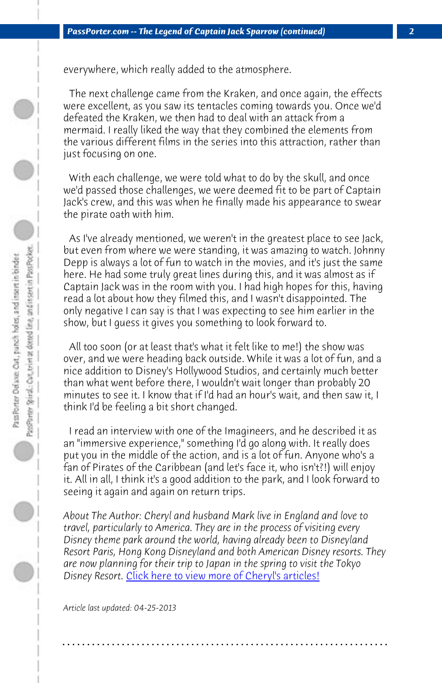## *PassPorter.com -- The Legend of Captain Jack Sparrow (continued) 2*

everywhere, which really added to the atmosphere.

 The next challenge came from the Kraken, and once again, the effects were excellent, as you saw its tentacles coming towards you. Once we'd defeated the Kraken, we then had to deal with an attack from a mermaid. I really liked the way that they combined the elements from the various different films in the series into this attraction, rather than just focusing on one.

 With each challenge, we were told what to do by the skull, and once we'd passed those challenges, we were deemed fit to be part of Captain Jack's crew, and this was when he finally made his appearance to swear the pirate oath with him.

 As I've already mentioned, we weren't in the greatest place to see Jack, but even from where we were standing, it was amazing to watch. Johnny Depp is always a lot of fun to watch in the movies, and it's just the same here. He had some truly great lines during this, and it was almost as if Captain Jack was in the room with you. I had high hopes for this, having read a lot about how they filmed this, and I wasn't disappointed. The only negative I can say is that I was expecting to see him earlier in the show, but I guess it gives you something to look forward to.

 All too soon (or at least that's what it felt like to me!) the show was over, and we were heading back outside. While it was a lot of fun, and a nice addition [to Disney's Hollywood Studios, and certainly](http://www.passporter.com/articles/cheryl-pendry-featured-columnist.asp) much better than what went before there, I wouldn't wait longer than probably 20 minutes to see it. I know that if I'd had an hour's wait, and then saw it, I think I'd be feeling a bit short changed.

 I read an interview with one of the Imagineers, and he described it as an "immersive experience," something I'd go along with. It really does put you in the middle of the action, and is a lot of fun. Anyone who's a fan of Pirates of the Caribbean (and let's face it, who isn't?!) will enjoy it. All in all, I think it's a good addition to the park, and I look forward to seeing it again and again on return trips.

*About The Author: Cheryl and husband Mark live in England and love to travel, particularly to America. They are in the process of visiting every Disney theme park around the world, having already been to Disneyland Resort Paris, Hong Kong Disneyland and both American Disney resorts. They are now planning for their trip to Japan in the spring to visit the Tokyo* Disney Resort. *Click here to view more of Cheryl's articles!* 

**. . . . . . . . . . . . . . . . . . . . . . . . . . . . . . . . . . . . . . . . . . . . . . . . . . . . . . . . . . . . . . . . . .**

*Article last updated: 04-25-2013*